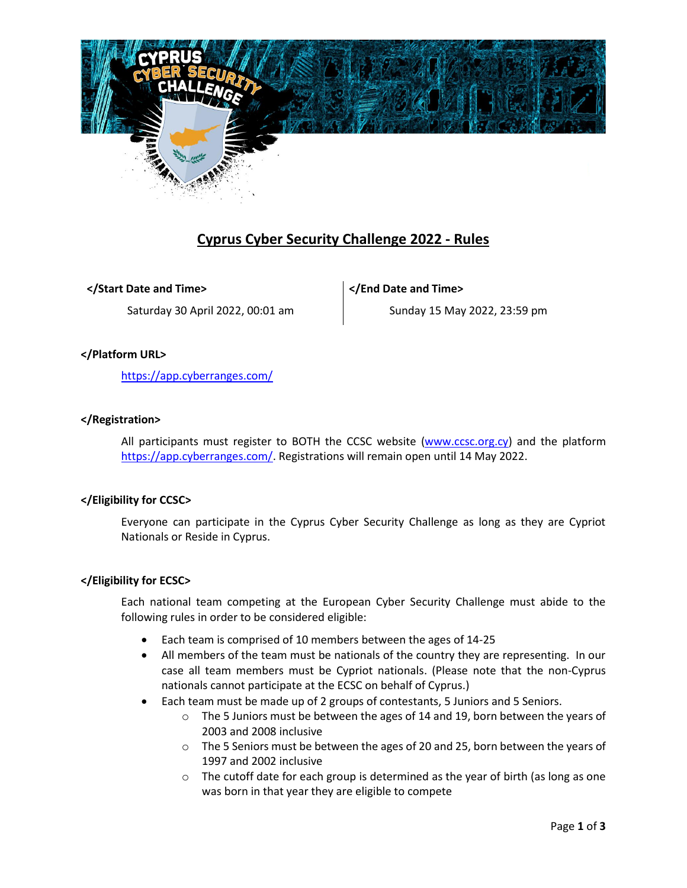

# **Cyprus Cyber Security Challenge 2022 - Rules**

**</Start Date and Time>**

Saturday 30 April 2022, 00:01 am

**</End Date and Time>**

Sunday 15 May 2022, 23:59 pm

# **</Platform URL>**

<https://app.cyberranges.com/>

## **</Registration>**

All participants must register to BOTH the CCSC website [\(www.ccsc.org.cy\)](http://www.ccsc.org.cy/) and the platform [https://app.cyberranges.com/.](https://app.cyberranges.com/) Registrations will remain open until 14 May 2022.

## **</Eligibility for CCSC>**

Everyone can participate in the Cyprus Cyber Security Challenge as long as they are Cypriot Nationals or Reside in Cyprus.

## **</Eligibility for ECSC>**

Each national team competing at the European Cyber Security Challenge must abide to the following rules in order to be considered eligible:

- Each team is comprised of 10 members between the ages of 14-25
- All members of the team must be nationals of the country they are representing. In our case all team members must be Cypriot nationals. (Please note that the non-Cyprus nationals cannot participate at the ECSC on behalf of Cyprus.)
- Each team must be made up of 2 groups of contestants, 5 Juniors and 5 Seniors.
	- $\circ$  The 5 Juniors must be between the ages of 14 and 19, born between the years of 2003 and 2008 inclusive
	- o The 5 Seniors must be between the ages of 20 and 25, born between the years of 1997 and 2002 inclusive
	- o The cutoff date for each group is determined as the year of birth (as long as one was born in that year they are eligible to compete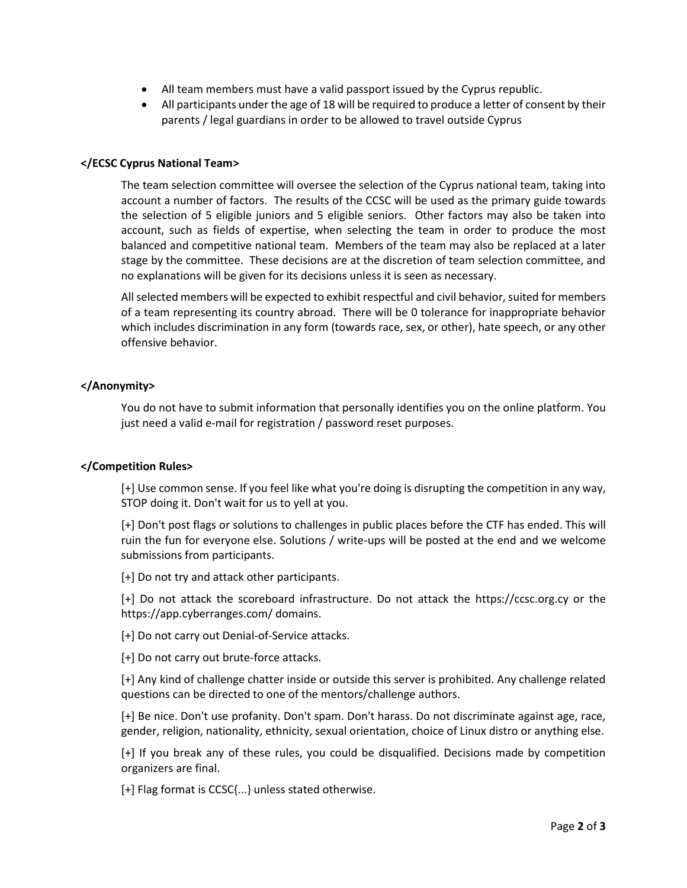- All team members must have a valid passport issued by the Cyprus republic.
- All participants under the age of 18 will be required to produce a letter of consent by their parents / legal guardians in order to be allowed to travel outside Cyprus

## **</ECSC Cyprus National Team>**

The team selection committee will oversee the selection of the Cyprus national team, taking into account a number of factors. The results of the CCSC will be used as the primary guide towards the selection of 5 eligible juniors and 5 eligible seniors. Other factors may also be taken into account, such as fields of expertise, when selecting the team in order to produce the most balanced and competitive national team. Members of the team may also be replaced at a later stage by the committee. These decisions are at the discretion of team selection committee, and no explanations will be given for its decisions unless it is seen as necessary.

All selected members will be expected to exhibit respectful and civil behavior, suited for members of a team representing its country abroad. There will be 0 tolerance for inappropriate behavior which includes discrimination in any form (towards race, sex, or other), hate speech, or any other offensive behavior.

#### **</Anonymity>**

You do not have to submit information that personally identifies you on the online platform. You just need a valid e-mail for registration / password reset purposes.

#### **</Competition Rules>**

[+] Use common sense. If you feel like what you're doing is disrupting the competition in any way, STOP doing it. Don't wait for us to yell at you.

[+] Don't post flags or solutions to challenges in public places before the CTF has ended. This will ruin the fun for everyone else. Solutions / write-ups will be posted at the end and we welcome submissions from participants.

[+] Do not try and attack other participants.

[+] Do not attack the scoreboard infrastructure. Do not attack the https://ccsc.org.cy or the https://app.cyberranges.com/ domains.

[+] Do not carry out Denial-of-Service attacks.

[+] Do not carry out brute-force attacks.

[+] Any kind of challenge chatter inside or outside this server is prohibited. Any challenge related questions can be directed to one of the mentors/challenge authors.

[+] Be nice. Don't use profanity. Don't spam. Don't harass. Do not discriminate against age, race, gender, religion, nationality, ethnicity, sexual orientation, choice of Linux distro or anything else.

[+] If you break any of these rules, you could be disqualified. Decisions made by competition organizers are final.

[+] Flag format is CCSC{...} unless stated otherwise.